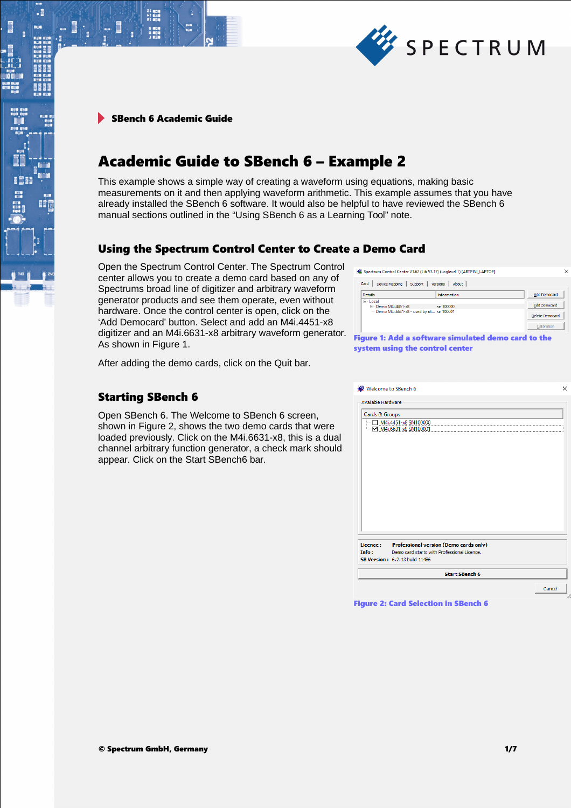

.

間

# Academic Guide to SBench 6 – Example 2

This example shows a simple way of creating a waveform using equations, making basic measurements on it and then applying waveform arithmetic. This example assumes that you have already installed the SBench 6 software. It would also be helpful to have reviewed the SBench 6 manual sections outlined in the "Using SBench 6 as a Learning Tool" note.

### Using the Spectrum Control Center to Create a Demo Card

Open the Spectrum Control Center. The Spectrum Control center allows you to create a demo card based on any of Spectrums broad line of digitizer and arbitrary waveform generator products and see them operate, even without hardware. Once the control center is open, click on the 'Add Democard' button. Select and add an M4i.4451-x8 digitizer and an M4i.6631-x8 arbitrary waveform generator. As shown in Figure 1.

After adding the demo cards, click on the Quit bar.

### Starting SBench 6

Open SBench 6. The Welcome to SBench 6 screen, shown in Figure 2, shows the two demo cards that were loaded previously. Click on the M4i.6631-x8, this is a dual channel arbitrary function generator, a check mark should appear. Click on the Start SBench6 bar.

Spectrum Control Center V1.62 (Lib V3.17) (Loglevel 1) [ARTPINI LAPTOP]

| Card<br>About<br>Device Mapping<br><b>Versions</b><br>Support              |             |                                                |  |  |  |
|----------------------------------------------------------------------------|-------------|------------------------------------------------|--|--|--|
| <b>Details</b>                                                             | Information | <b>Add Democard</b>                            |  |  |  |
| $=$ Local<br>E Demo M4i.4451-x8<br>Demo M4i.6631-x8 - used by ot sn 100001 | sn 100000   | <b>Edit Democard</b><br><b>Delete Democard</b> |  |  |  |
|                                                                            |             | Calibration                                    |  |  |  |
| igure 1: Add a software simulated demo card to the                         |             |                                                |  |  |  |

Figure 1: Add a software simulated demo card to the system using the control center

Figure 2: Card Selection in SBench 6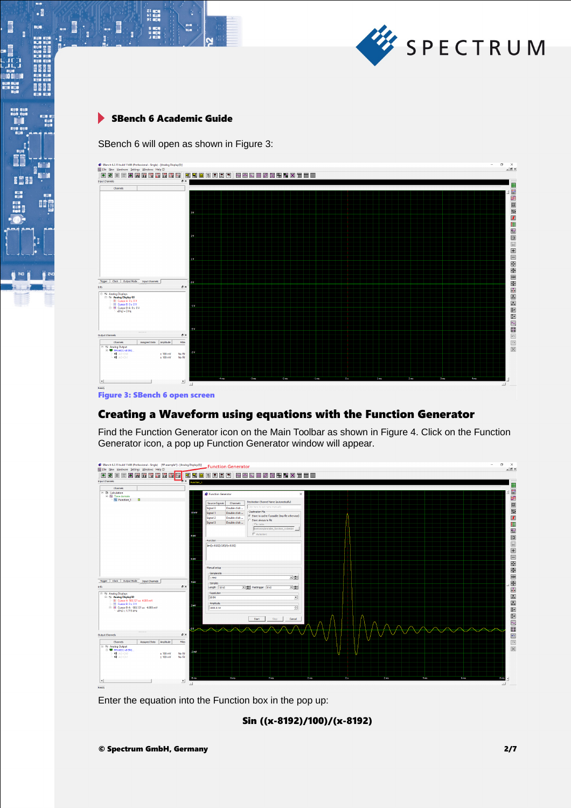

 $\begin{array}{l} 21 \ \ 0000 \\ +1 \ \ 0000 \\ 91 \ \ 0000 \\ \end{array}$ 

s<br>Mata

16. O

 $\cdot$ 

634

an da um da ser e est<br>tua da um da um da<br>tua da um da um da

j

ii<br>G

瞳

SBench 6 will open as shown in Figure 3:



Figure 3: SBench 6 open screen

### Creating a Waveform using equations with the Function Generator

Find the Function Generator icon on the Main Toolbar as shown in Figure 4. Click on the Function Generator icon, a pop up Function Generator window will appear.



Enter the equation into the Function box in the pop up:

Sin ((x-8192)/100)/(x-8192)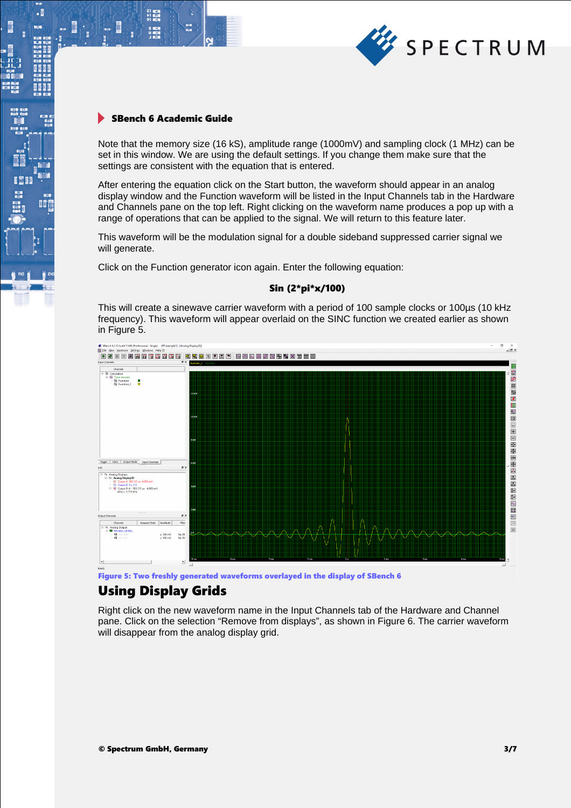

21 年11<br>11 年11<br>91 年11

 $\cdot$ 

間

Note that the memory size (16 kS), amplitude range (1000mV) and sampling clock (1 MHz) can be set in this window. We are using the default settings. If you change them make sure that the settings are consistent with the equation that is entered.

After entering the equation click on the Start button, the waveform should appear in an analog display window and the Function waveform will be listed in the Input Channels tab in the Hardware and Channels pane on the top left. Right clicking on the waveform name produces a pop up with a range of operations that can be applied to the signal. We will return to this feature later.

This waveform will be the modulation signal for a double sideband suppressed carrier signal we will generate.

Click on the Function generator icon again. Enter the following equation:

#### Sin (2\*pi\*x/100)

This will create a sinewave carrier waveform with a period of 100 sample clocks or 100µs (10 kHz frequency). This waveform will appear overlaid on the SINC function we created earlier as shown in Figure 5.



Figure 5: Two freshly generated waveforms overlayed in the display of SBench 6

## Using Display Grids

Right click on the new waveform name in the Input Channels tab of the Hardware and Channel pane. Click on the selection "Remove from displays", as shown in Figure 6. The carrier waveform will disappear from the analog display grid.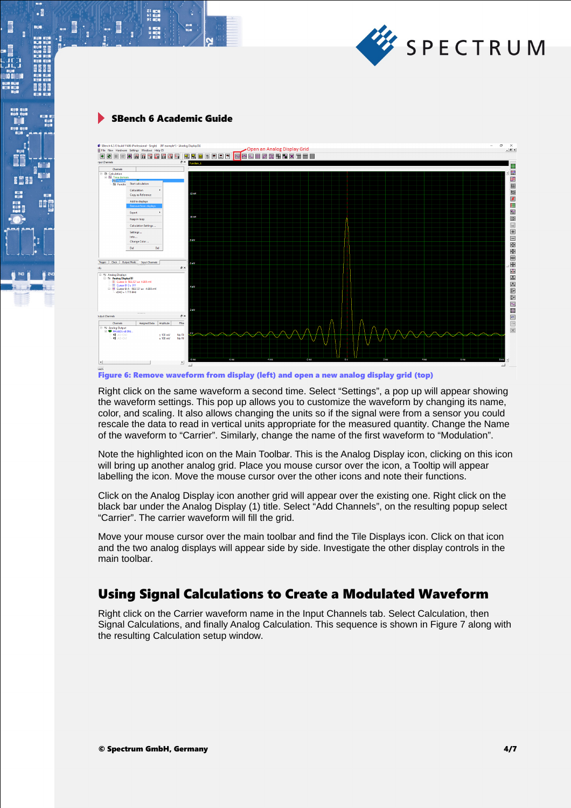

 $\begin{array}{l} 21 \ \ 0000 \\ +1 \ \ 0000 \\ 91 \ \ 0000 \\ \end{array}$ 

 $\cdot$ 

**BEEF** 

**II** 



Figure 6: Remove waveform from display (left) and open a new analog display grid (top)

Right click on the same waveform a second time. Select "Settings", a pop up will appear showing the waveform settings. This pop up allows you to customize the waveform by changing its name, color, and scaling. It also allows changing the units so if the signal were from a sensor you could rescale the data to read in vertical units appropriate for the measured quantity. Change the Name of the waveform to "Carrier". Similarly, change the name of the first waveform to "Modulation".

Note the highlighted icon on the Main Toolbar. This is the Analog Display icon, clicking on this icon will bring up another analog grid. Place you mouse cursor over the icon, a Tooltip will appear labelling the icon. Move the mouse cursor over the other icons and note their functions.

Click on the Analog Display icon another grid will appear over the existing one. Right click on the black bar under the Analog Display (1) title. Select "Add Channels", on the resulting popup select "Carrier". The carrier waveform will fill the grid.

Move your mouse cursor over the main toolbar and find the Tile Displays icon. Click on that icon and the two analog displays will appear side by side. Investigate the other display controls in the main toolbar.

## Using Signal Calculations to Create a Modulated Waveform

Right click on the Carrier waveform name in the Input Channels tab. Select Calculation, then Signal Calculations, and finally Analog Calculation. This sequence is shown in Figure 7 along with the resulting Calculation setup window.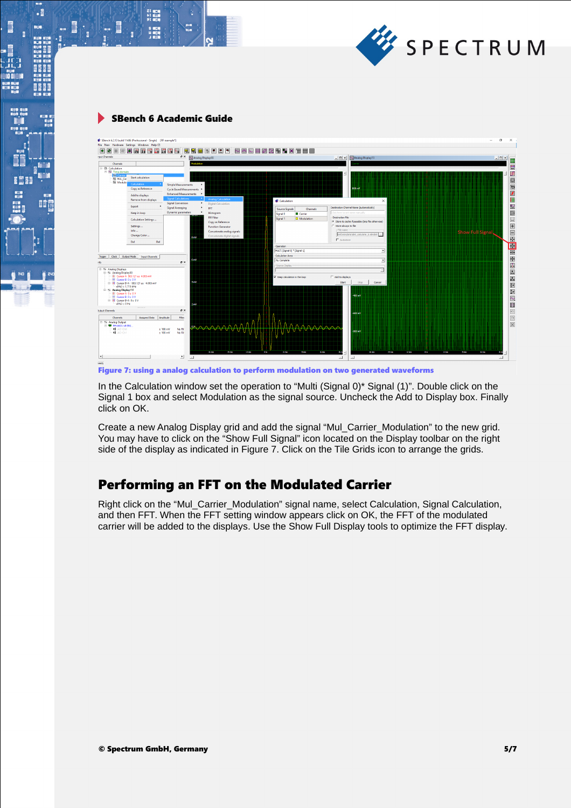

21 mg<br>サービス<br>91 mg

 $\cdot$ 

| File New Hardware Settings Windows Help (?)                 | SBench 6.2.13 build 11486 (Professional - Single) [RF example"] |                                                     |                               |                                  |                                                   | O<br>×                                       |  |
|-------------------------------------------------------------|-----------------------------------------------------------------|-----------------------------------------------------|-------------------------------|----------------------------------|---------------------------------------------------|----------------------------------------------|--|
| $\rightarrow$                                               | 日間風暴雨間間開発                                                       | Б.,                                                 | 南南南南南南                        | <b>NADEZRHVXTED</b>              |                                                   |                                              |  |
| nout Channels                                               |                                                                 | $\theta$ x<br>Analog Display(0)                     |                               |                                  | - 0 x Analog Display(1)                           | $  0 $ ×                                     |  |
| Channels                                                    |                                                                 | <b>Induktion</b>                                    |                               |                                  |                                                   |                                              |  |
| F B Calculation                                             |                                                                 |                                                     |                               |                                  |                                                   | 體                                            |  |
| <b>E-Av Time domain</b><br><b>N</b> Carrie                  |                                                                 |                                                     |                               |                                  |                                                   | <b>ISB</b><br>$\hat{\phantom{a}}$            |  |
| N MLL Car                                                   | <b>Start calculation</b>                                        |                                                     |                               |                                  |                                                   | $\boxed{\underline{\underline{\mathbb{Q}}}}$ |  |
| Modula <sub>1</sub>                                         | Calculation                                                     | <b>Simple Measurements</b>                          |                               |                                  |                                                   |                                              |  |
|                                                             | Copy as Reference                                               | <b>Cycle Based Measurements</b>                     |                               |                                  | 800 mV                                            | $\blacksquare$                               |  |
|                                                             | Add to displays                                                 | <b>Enhanced Measurements</b>                        |                               |                                  |                                                   | $\mathbf{r}$                                 |  |
|                                                             | <b>Remove from displays</b>                                     | <b>Signal Calculations</b>                          | <b>Analog Calculation</b>     | Calculation                      | $\times$                                          |                                              |  |
|                                                             | Export<br>٠                                                     | <b>Signal Conversion</b><br><b>Signal Averaging</b> | <b>Digital Calculation</b>    |                                  | Destination Channel Name (automatically)          | E E                                          |  |
|                                                             |                                                                 | Dynamic parameters                                  | <b>FFT</b><br>Histogram       | Source Signals<br>Channels       | Click here to set name manually                   | 画                                            |  |
|                                                             | Keep in loop                                                    |                                                     | <b>FIR Filter</b>             | <b>D</b> Carrier<br>Signal 0     | Destination File                                  |                                              |  |
|                                                             | Calculation Settings                                            |                                                     | Copy as Reference             | Signal 1<br><b>D</b> Modulation  | C Store to cache if possible (tmp file otherwise) | $\left\vert _{+}\right\rangle$               |  |
|                                                             | Settings                                                        |                                                     | <b>Function Generator</b>     |                                  | C Store always to file                            | $\mathbf{E}$                                 |  |
|                                                             | Info                                                            |                                                     | Concatenate analog signals    |                                  | -File name                                        | lē<br><b>Show Full Signa</b>                 |  |
|                                                             | Change Color                                                    | 8 <sub>m</sub>                                      | Concatenate digital signals   |                                  | onData\data\sb6_calculate_6.sb6dat                | E                                            |  |
|                                                             | Del<br>Del                                                      |                                                     |                               |                                  | E Autostore                                       |                                              |  |
|                                                             |                                                                 |                                                     |                               | Operation                        |                                                   | 国国国王                                         |  |
|                                                             |                                                                 |                                                     |                               |                                  | MJLTI [Signal 0] * [Signal 1]<br>ᅬ                |                                              |  |
| Clock   Output Mode<br>Trigger                              | <b>Input Channels</b>                                           | 5 mW                                                |                               | Calculation Area<br><br>Complete |                                                   |                                              |  |
| nfo                                                         |                                                                 | $B \times$                                          |                               | Source Display                   | ≖                                                 | II.                                          |  |
| Analog Displays                                             |                                                                 |                                                     |                               |                                  | z.                                                |                                              |  |
| E N Analog Display(0)                                       |                                                                 |                                                     |                               |                                  |                                                   | $\boxed{\mathbf{x}}$                         |  |
| - III Cursor A 583,121 us 4,085 mV<br>- El Cursor B 0 s 0 V |                                                                 |                                                     |                               | Keep calculation in the loon     | E add to dealers                                  |                                              |  |
| $x(Hz) = 1.715$ kHz                                         | Fill III. Cursor R.A. (583-121 us. (4.085 mV)                   | 4mV                                                 |                               |                                  | Start<br>Stop<br>Cancel                           | 四四四                                          |  |
| E N Analog Display (1)                                      |                                                                 |                                                     |                               |                                  |                                                   |                                              |  |
| E Cursor A 0 s 0 V<br>E Cursor B 0 s 0 V                    |                                                                 |                                                     |                               |                                  | $-400$ mV                                         |                                              |  |
| E # Cursor B-A 0 s 0 V                                      |                                                                 |                                                     |                               |                                  |                                                   | $\sim$                                       |  |
| $x(Hz) = 0 Hz$                                              |                                                                 | 2 <sub>m</sub>                                      |                               |                                  |                                                   | 闘                                            |  |
| <b>Jutput Channels</b>                                      |                                                                 | <b>B</b> X                                          |                               |                                  | +600 m/s                                          | $\boxed{5}$                                  |  |
| Channels                                                    | Assigned Data<br>Amplitude                                      | Filter                                              |                               |                                  |                                                   | $\boxed{\circ}$                              |  |
| Analog Output                                               |                                                                 |                                                     |                               |                                  |                                                   |                                              |  |
| E- 6 M4.6631-x8 SN1.<br><b>42</b> AO-ChD                    |                                                                 | $± 100$ mV<br>No Fit                                |                               | AAAAAAA                          |                                                   | $\overline{\mathbb{X}}$                      |  |
| <b>all</b> AO-Chi                                           |                                                                 | $± 100$ mV<br>No Fit                                |                               |                                  | -800 m/                                           |                                              |  |
|                                                             |                                                                 |                                                     |                               |                                  |                                                   |                                              |  |
|                                                             |                                                                 |                                                     |                               |                                  |                                                   |                                              |  |
|                                                             |                                                                 |                                                     |                               |                                  |                                                   |                                              |  |
|                                                             |                                                                 |                                                     | -6 mit<br>$-4$ ms.<br>$-2$ ms | 6 ms<br>`Os<br>2 ms<br>4ms       | -6 mm<br><b>24 mm</b><br>$-2$ ms<br>8n            | 08<br>2 ms<br><b>And</b><br>6ms<br>$8m +$    |  |
| $\left  \cdot \right $                                      |                                                                 | $\cdot$<br>$\sim$ 1                                 |                               |                                  | $\mathbf{L}$<br>$\mathcal{L}$                     | $\geq$ .                                     |  |

Figure 7: using a analog calculation to perform modulation on two generated waveforms

In the Calculation window set the operation to "Multi (Signal 0)\* Signal (1)". Double click on the Signal 1 box and select Modulation as the signal source. Uncheck the Add to Display box. Finally click on OK.

Create a new Analog Display grid and add the signal "Mul\_Carrier\_Modulation" to the new grid. You may have to click on the "Show Full Signal" icon located on the Display toolbar on the right side of the display as indicated in Figure 7. Click on the Tile Grids icon to arrange the grids.

## Performing an FFT on the Modulated Carrier

Right click on the "Mul\_Carrier\_Modulation" signal name, select Calculation, Signal Calculation, and then FFT. When the FFT setting window appears click on OK, the FFT of the modulated carrier will be added to the displays. Use the Show Full Display tools to optimize the FFT display.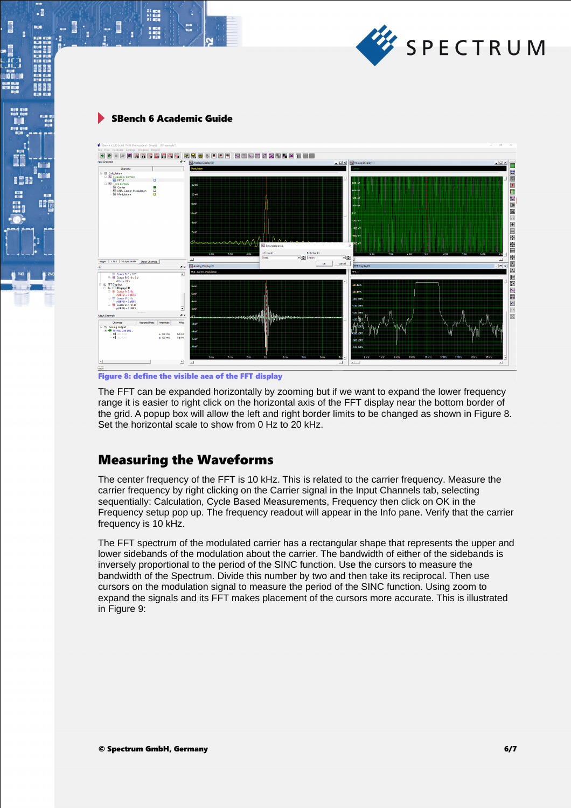

 $\begin{array}{l} 21 \ \ 0000 \\ +1 \ \ 0000 \\ 91 \ \ 0000 \\ \end{array}$ 

 $\cdot$ 

8661

瞪



Figure 8: define the visible aea of the FFT display

The FFT can be expanded horizontally by zooming but if we want to expand the lower frequency range it is easier to right click on the horizontal axis of the FFT display near the bottom border of the grid. A popup box will allow the left and right border limits to be changed as shown in Figure 8. Set the horizontal scale to show from 0 Hz to 20 kHz.

### Measuring the Waveforms

The center frequency of the FFT is 10 kHz. This is related to the carrier frequency. Measure the carrier frequency by right clicking on the Carrier signal in the Input Channels tab, selecting sequentially: Calculation, Cycle Based Measurements, Frequency then click on OK in the Frequency setup pop up. The frequency readout will appear in the Info pane. Verify that the carrier frequency is 10 kHz.

The FFT spectrum of the modulated carrier has a rectangular shape that represents the upper and lower sidebands of the modulation about the carrier. The bandwidth of either of the sidebands is inversely proportional to the period of the SINC function. Use the cursors to measure the bandwidth of the Spectrum. Divide this number by two and then take its reciprocal. Then use cursors on the modulation signal to measure the period of the SINC function. Using zoom to expand the signals and its FFT makes placement of the cursors more accurate. This is illustrated in Figure 9: